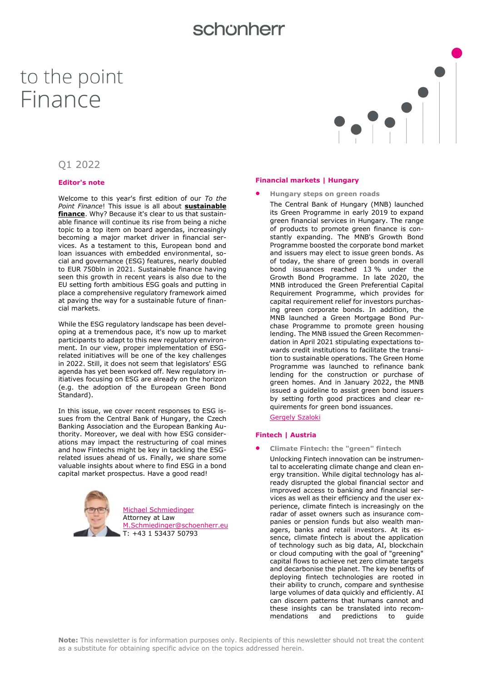### schonherr

# to the point Finance



### Q1 2022

#### **Editor's note**

Welcome to this year's first edition of our *To the Point Finance*! This issue is all about **sustainable finance**. Why? Because it's clear to us that sustainable finance will continue its rise from being a niche topic to a top item on board agendas, increasingly becoming a major market driver in financial services. As a testament to this, European bond and loan issuances with embedded environmental, social and governance (ESG) features, nearly doubled to EUR 750bln in 2021. Sustainable finance having seen this growth in recent years is also due to the EU setting forth ambitious ESG goals and putting in place a comprehensive regulatory framework aimed at paving the way for a sustainable future of financial markets.

While the ESG regulatory landscape has been developing at a tremendous pace, it's now up to market participants to adapt to this new regulatory environment. In our view, proper implementation of ESGrelated initiatives will be one of the key challenges in 2022. Still, it does not seem that legislators' ESG agenda has yet been worked off. New regulatory initiatives focusing on ESG are already on the horizon (e.g. the adoption of the European Green Bond Standard).

In this issue, we cover recent responses to ESG issues from the Central Bank of Hungary, the Czech Banking Association and the European Banking Authority. Moreover, we deal with how ESG considerations may impact the restructuring of coal mines and how Fintechs might be key in tackling the ESGrelated issues ahead of us. Finally, we share some valuable insights about where to find ESG in a bond capital market prospectus. Have a good read!



[Michael Schmiedinger](https://www.schoenherr.eu/people/detail/michael-schmiedinger/) Attorney at Law M.Schmiedinger@schoenherr.eu T: +43 1 53437 50793

#### **Financial markets | Hungary**

- **Hungary steps on green roads**
	- The Central Bank of Hungary (MNB) launched its Green Programme in early 2019 to expand green financial services in Hungary. The range of products to promote green finance is constantly expanding. The MNB's Growth Bond Programme boosted the corporate bond market and issuers may elect to issue green bonds. As of today, the share of green bonds in overall bond issuances reached 13 % under the Growth Bond Programme. In late 2020, the MNB introduced the Green Preferential Capital Requirement Programme, which provides for capital requirement relief for investors purchasing green corporate bonds. In addition, the MNB launched a Green Mortgage Bond Purchase Programme to promote green housing lending. The MNB issued the Green Recommendation in April 2021 stipulating expectations towards credit institutions to facilitate the transition to sustainable operations. The Green Home Programme was launched to refinance bank lending for the construction or purchase of green homes. And in January 2022, the MNB issued a guideline to assist green bond issuers by setting forth good practices and clear requirements for green bond issuances.

[Gergely Szaloki](https://www.schoenherr.eu/people/detail/gergely-szaloki/)

#### **Fintech | Austria**

• **Climate Fintech: the "green" fintech** Unlocking Fintech innovation can be instrumental to accelerating climate change and clean energy transition. While digital technology has already disrupted the global financial sector and improved access to banking and financial services as well as their efficiency and the user experience, climate fintech is increasingly on the radar of asset owners such as insurance companies or pension funds but also wealth managers, banks and retail investors. At its essence, climate fintech is about the application of technology such as big data, AI, blockchain or cloud computing with the goal of "greening" capital flows to achieve net zero climate targets and decarbonise the planet. The key benefits of deploying fintech technologies are rooted in their ability to crunch, compare and synthesise large volumes of data quickly and efficiently. AI can discern patterns that humans cannot and these insights can be translated into recommendations and predictions to guide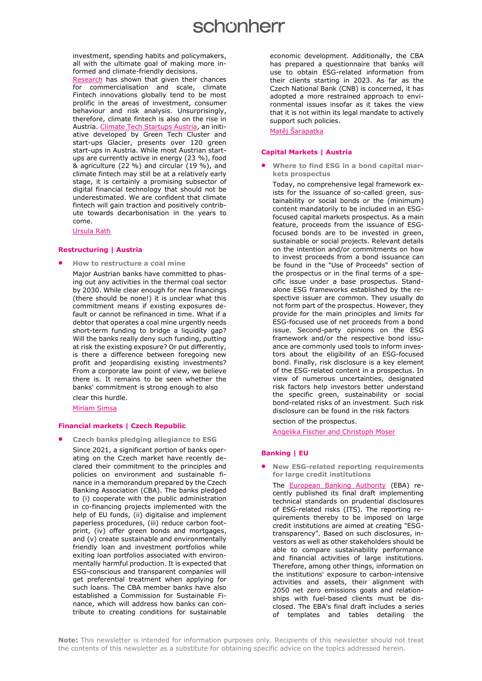## schonherr

investment, spending habits and policymakers, all with the ultimate goal of making more informed and climate-friendly decisions.

[Research](https://www.newenergynexus.com/climate-fintech-report/) has shown that given their chances for commercialisation and scale, climate Fintech innovations globally tend to be most prolific in the areas of investment, consumer behaviour and risk analysis. Unsurprisingly, therefore, climate fintech is also on the rise in Austria. [Climate Tech Startups Austria,](https://www.greentech.at/climate-tech-startups-austria/) an initiative developed by Green Tech Cluster and start-ups Glacier, presents over 120 green start-ups in Austria. While most Austrian startups are currently active in energy (23 %), food & agriculture (22 %) and circular (19 %), and climate fintech may still be at a relatively early stage, it is certainly a promising subsector of digital financial technology that should not be underestimated. We are confident that climate fintech will gain traction and positively contribute towards decarbonisation in the years to come.

[Ursula Rath](https://www.schoenherr.eu/people/detail/ursula-rath/)

#### **Restructuring | Austria**

• **How to restructure a coal mine**

Major Austrian banks have committed to phasing out any activities in the thermal coal sector by 2030. While clear enough for new financings (there should be none!) it is unclear what this commitment means if existing exposures default or cannot be refinanced in time. What if a debtor that operates a coal mine urgently needs short-term funding to bridge a liquidity gap? Will the banks really deny such funding, putting at risk the existing exposure? Or put differently, is there a difference between foregoing new profit and jeopardising existing investments? From a corporate law point of view, we believe there is. It remains to be seen whether the banks' commitment is strong enough to also clear this hurdle.

[Miriam Simsa](https://www.schoenherr.eu/people/detail/miriam-simsa/)

#### **Financial markets | Czech Republic**

- **Czech banks pledging allegiance to ESG**
	- Since 2021, a significant portion of banks operating on the Czech market have recently declared their commitment to the principles and policies on environment and sustainable finance in a memorandum prepared by the Czech Banking Association (CBA). The banks pledged to (i) cooperate with the public administration in co-financing projects implemented with the help of EU funds, (ii) digitalise and implement paperless procedures, (iii) reduce carbon footprint, (iv) offer green bonds and mortgages, and (v) create sustainable and environmentally friendly loan and investment portfolios while exiting loan portfolios associated with environmentally harmful production. It is expected that ESG-conscious and transparent companies will get preferential treatment when applying for such loans. The CBA member banks have also established a Commission for Sustainable Finance, which will address how banks can contribute to creating conditions for sustainable

economic development. Additionally, the CBA has prepared a questionnaire that banks will use to obtain ESG-related information from their clients starting in 2023. As far as the Czech National Bank (CNB) is concerned, it has adopted a more restrained approach to environmental issues insofar as it takes the view that it is not within its legal mandate to actively support such policies.

[Matěj Šarapatka](https://www.schoenherr.eu/people/detail/matej-sarapatka/)

#### **Capital Markets | Austria**

• **Where to find ESG in a bond capital markets prospectus**

Today, no comprehensive legal framework exists for the issuance of so-called green, sustainability or social bonds or the (minimum) content mandatorily to be included in an ESGfocused capital markets prospectus. As a main feature, proceeds from the issuance of ESGfocused bonds are to be invested in green, sustainable or social projects. Relevant details on the intention and/or commitments on how to invest proceeds from a bond issuance can be found in the "Use of Proceeds" section of the prospectus or in the final terms of a specific issue under a base prospectus. Standalone ESG frameworks established by the respective issuer are common. They usually do not form part of the prospectus. However, they provide for the main principles and limits for ESG-focused use of net proceeds from a bond issue. Second-party opinions on the ESG framework and/or the respective bond issuance are commonly used tools to inform investors about the eligibility of an ESG-focused bond. Finally, risk disclosure is a key element of the ESG-related content in a prospectus. In view of numerous uncertainties, designated risk factors help investors better understand the specific green, sustainability or social bond-related risks of an investment. Such risk disclosure can be found in the risk factors

section of the prospectus.

[Angelika Fischer](https://www.schoenherr.eu/people/detail/angelika-fischer/) and [Christoph Moser](https://www.schoenherr.eu/people/detail/christoph-moser/)

#### **Banking | EU**

• **New ESG-related reporting requirements for large credit institutions**

The **[European Banking Authority](https://www.eba.europa.eu/implementing-technical-standards-its-prudential-disclosures-esg-risks-accordance-article-449a-crr)** (EBA) recently published its final draft implementing technical standards on prudential disclosures of ESG-related risks (ITS). The reporting requirements thereby to be imposed on large credit institutions are aimed at creating "ESGtransparency". Based on such disclosures, investors as well as other stakeholders should be able to compare sustainability performance and financial activities of large institutions. Therefore, among other things, information on the institutions' exposure to carbon-intensive activities and assets, their alignment with 2050 net zero emissions goals and relationships with fuel-based clients must be disclosed. The EBA's final draft includes a series of templates and tables detailing the